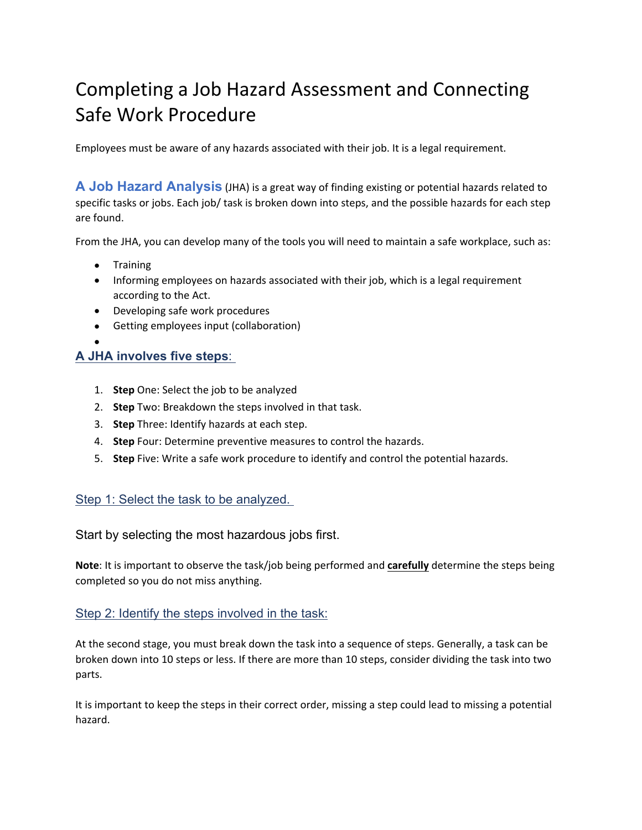# Completing a Job Hazard Assessment and Connecting Safe Work Procedure

Employees must be aware of any hazards associated with their job. It is a legal requirement.

**A Job Hazard Analysis** (JHA) is a great way of finding existing or potential hazards related to specific tasks or jobs. Each job/ task is broken down into steps, and the possible hazards for each step are found.

From the JHA, you can develop many of the tools you will need to maintain a safe workplace, such as:

- Training
- Informing employees on hazards associated with their job, which is a legal requirement according to the Act.
- Developing safe work procedures
- Getting employees input (collaboration)
- $\bullet$  and  $\bullet$  and  $\bullet$  and  $\bullet$  and  $\bullet$

## **A JHA involves five steps**:

- 1. **Step** One: Select the job to be analyzed
- 2. **Step** Two: Breakdown the steps involved in that task.
- 3. **Step** Three: Identify hazards at each step.
- 4. **Step** Four: Determine preventive measures to control the hazards.
- 5. **Step** Five: Write a safe work procedure to identify and control the potential hazards.

## Step 1: Select the task to be analyzed.

## Start by selecting the most hazardous jobs first.

**Note**: It is important to observe the task/job being performed and **carefully** determine the steps being completed so you do not miss anything.

## Step 2: Identify the steps involved in the task:

At the second stage, you must break down the task into a sequence of steps. Generally, a task can be broken down into 10 steps or less. If there are more than 10 steps, consider dividing the task into two parts.

It is important to keep the steps in their correct order, missing a step could lead to missing a potential hazard.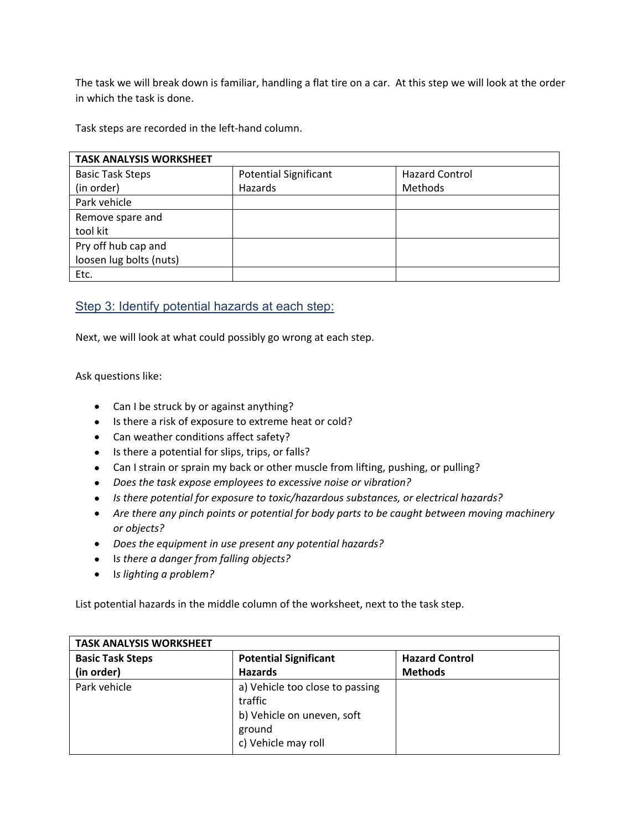The task we will break down is familiar, handling a flat tire on a car. At this step we will look at the order in which the task is done.

Task steps are recorded in the left-hand column.

| <b>TASK ANALYSIS WORKSHEET</b> |                              |                       |  |
|--------------------------------|------------------------------|-----------------------|--|
| <b>Basic Task Steps</b>        | <b>Potential Significant</b> | <b>Hazard Control</b> |  |
| (in order)                     | Hazards                      | Methods               |  |
| Park vehicle                   |                              |                       |  |
| Remove spare and               |                              |                       |  |
| tool kit                       |                              |                       |  |
| Pry off hub cap and            |                              |                       |  |
| loosen lug bolts (nuts)        |                              |                       |  |
| Etc.                           |                              |                       |  |

## Step 3: Identify potential hazards at each step:

Next, we will look at what could possibly go wrong at each step.

Ask questions like:

- Can I be struck by or against anything?
- Is there a risk of exposure to extreme heat or cold?
- Can weather conditions affect safety?
- Is there a potential for slips, trips, or falls?
- Can I strain or sprain my back or other muscle from lifting, pushing, or pulling?
- *Does the task expose employees to excessive noise or vibration?*
- *Is there potential for exposure to toxic/hazardous substances, or electrical hazards?*
- *Are there any pinch points or potential for body parts to be caught between moving machinery or objects?*
- *Does the equipment in use present any potential hazards?*
- I*s there a danger from falling objects?*
- I*s lighting a problem?*

List potential hazards in the middle column of the worksheet, next to the task step.

| <b>TASK ANALYSIS WORKSHEET</b> |                                                                                                           |                       |
|--------------------------------|-----------------------------------------------------------------------------------------------------------|-----------------------|
| <b>Basic Task Steps</b>        | <b>Potential Significant</b>                                                                              | <b>Hazard Control</b> |
| (in order)                     | <b>Hazards</b>                                                                                            | <b>Methods</b>        |
| Park vehicle                   | a) Vehicle too close to passing<br>traffic<br>b) Vehicle on uneven, soft<br>ground<br>c) Vehicle may roll |                       |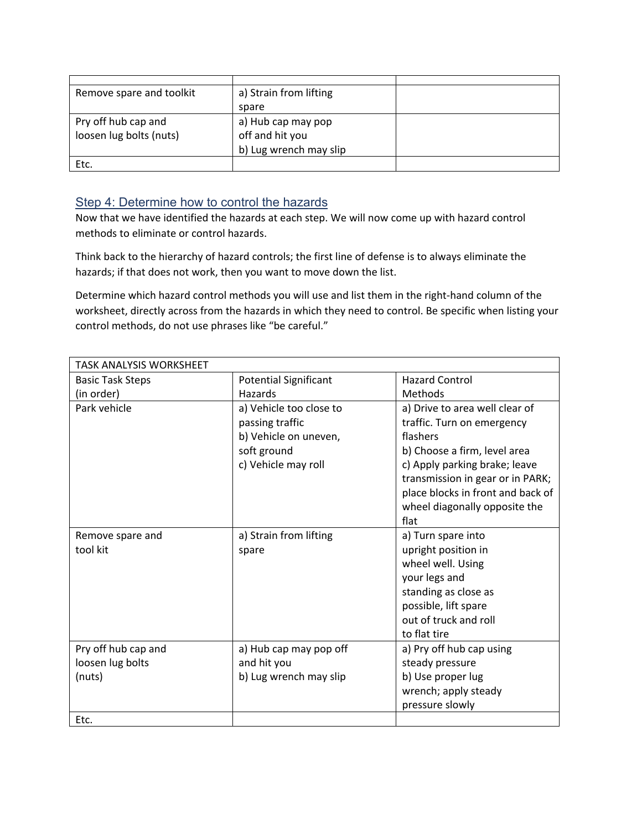| Remove spare and toolkit | a) Strain from lifting |  |
|--------------------------|------------------------|--|
|                          | spare                  |  |
| Pry off hub cap and      | a) Hub cap may pop     |  |
| loosen lug bolts (nuts)  | off and hit you        |  |
|                          | b) Lug wrench may slip |  |
| Etc.                     |                        |  |

# Step 4: Determine how to control the hazards

Now that we have identified the hazards at each step. We will now come up with hazard control methods to eliminate or control hazards.

Think back to the hierarchy of hazard controls; the first line of defense is to always eliminate the hazards; if that does not work, then you want to move down the list.

Determine which hazard control methods you will use and list them in the right-hand column of the worksheet, directly across from the hazards in which they need to control. Be specific when listing your control methods, do not use phrases like "be careful."

| <b>TASK ANALYSIS WORKSHEET</b> |                              |                                   |
|--------------------------------|------------------------------|-----------------------------------|
| <b>Basic Task Steps</b>        | <b>Potential Significant</b> | <b>Hazard Control</b>             |
| (in order)                     | Hazards                      | Methods                           |
| Park vehicle                   | a) Vehicle too close to      | a) Drive to area well clear of    |
|                                | passing traffic              | traffic. Turn on emergency        |
|                                | b) Vehicle on uneven,        | flashers                          |
|                                | soft ground                  | b) Choose a firm, level area      |
|                                | c) Vehicle may roll          | c) Apply parking brake; leave     |
|                                |                              | transmission in gear or in PARK;  |
|                                |                              | place blocks in front and back of |
|                                |                              | wheel diagonally opposite the     |
|                                |                              | flat                              |
| Remove spare and               | a) Strain from lifting       | a) Turn spare into                |
| tool kit                       | spare                        | upright position in               |
|                                |                              | wheel well. Using                 |
|                                |                              | your legs and                     |
|                                |                              | standing as close as              |
|                                |                              | possible, lift spare              |
|                                |                              | out of truck and roll             |
|                                |                              | to flat tire                      |
| Pry off hub cap and            | a) Hub cap may pop off       | a) Pry off hub cap using          |
| loosen lug bolts               | and hit you                  | steady pressure                   |
| (nuts)                         | b) Lug wrench may slip       | b) Use proper lug                 |
|                                |                              | wrench; apply steady              |
|                                |                              | pressure slowly                   |
| Etc.                           |                              |                                   |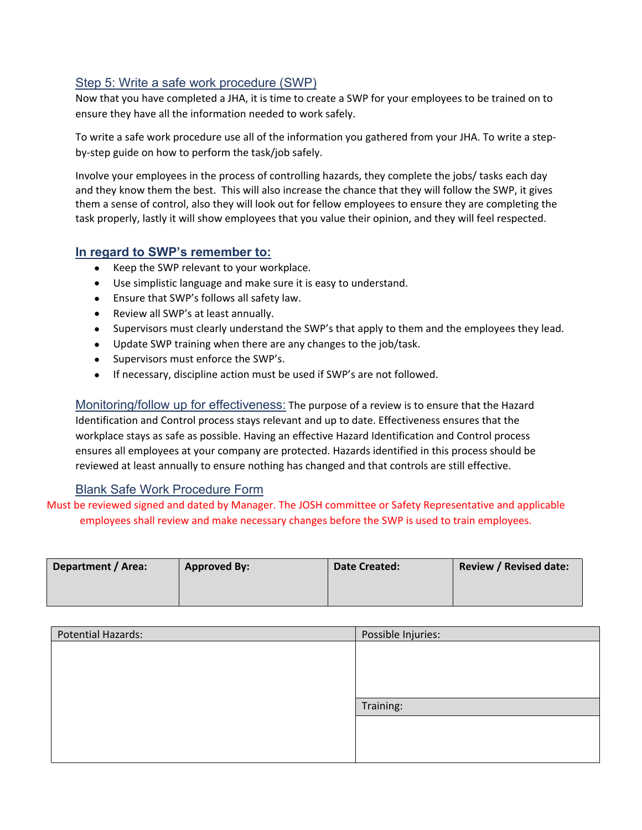## Step 5: Write a safe work procedure (SWP)

Now that you have completed a JHA, it is time to create a SWP for your employees to be trained on to ensure they have all the information needed to work safely.

To write a safe work procedure use all of the information you gathered from your JHA. To write a stepby-step guide on how to perform the task/job safely.

Involve your employees in the process of controlling hazards, they complete the jobs/ tasks each day and they know them the best. This will also increase the chance that they will follow the SWP, it gives them a sense of control, also they will look out for fellow employees to ensure they are completing the task properly, lastly it will show employees that you value their opinion, and they will feel respected.

## **In regard to SWP's remember to:**

- Keep the SWP relevant to your workplace.
- Use simplistic language and make sure it is easy to understand.
- Ensure that SWP's follows all safety law.
- Review all SWP's at least annually.
- Supervisors must clearly understand the SWP's that apply to them and the employees they lead.
- Update SWP training when there are any changes to the job/task.
- Supervisors must enforce the SWP's.
- If necessary, discipline action must be used if SWP's are not followed.

Monitoring/follow up for effectiveness: The purpose of a review is to ensure that the Hazard Identification and Control process stays relevant and up to date. Effectiveness ensures that the workplace stays as safe as possible. Having an effective Hazard Identification and Control process ensures all employees at your company are protected. Hazards identified in this process should be reviewed at least annually to ensure nothing has changed and that controls are still effective.

## Blank Safe Work Procedure Form

Must be reviewed signed and dated by Manager. The JOSH committee or Safety Representative and applicable employees shall review and make necessary changes before the SWP is used to train employees.

| Department / Area: | <b>Approved By:</b> | <b>Date Created:</b> | <b>Review / Revised date:</b> |
|--------------------|---------------------|----------------------|-------------------------------|
|                    |                     |                      |                               |

| <b>Potential Hazards:</b> | Possible Injuries: |
|---------------------------|--------------------|
|                           |                    |
|                           |                    |
|                           |                    |
|                           |                    |
|                           | Training:          |
|                           |                    |
|                           |                    |
|                           |                    |